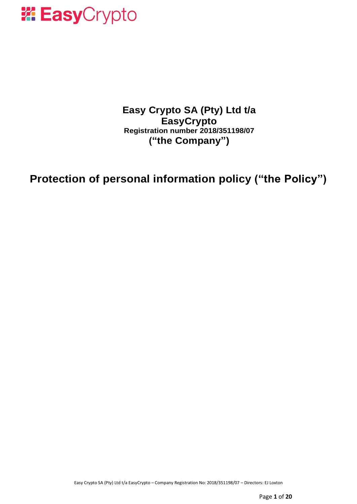

**Easy Crypto SA (Pty) Ltd t/a EasyCrypto Registration number 2018/351198/07 ("the Company")**

**Protection of personal information policy ("the Policy")**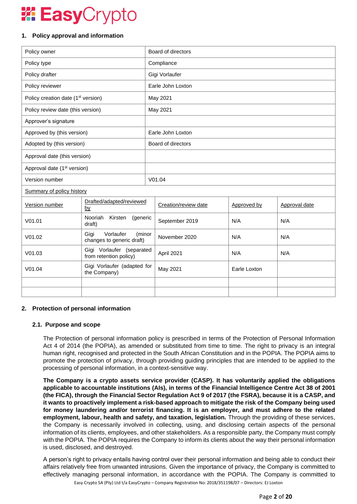# **Easy**Crypto

# **1. Policy approval and information**

| Policy owner                                   |                                                          | Board of directors |                      |              |               |
|------------------------------------------------|----------------------------------------------------------|--------------------|----------------------|--------------|---------------|
| Policy type                                    |                                                          | Compliance         |                      |              |               |
| Policy drafter                                 |                                                          | Gigi Vorlaufer     |                      |              |               |
| Policy reviewer                                |                                                          | Earle John Loxton  |                      |              |               |
| Policy creation date (1 <sup>st</sup> version) |                                                          | May 2021           |                      |              |               |
| Policy review date (this version)              |                                                          | May 2021           |                      |              |               |
| Approver's signature                           |                                                          |                    |                      |              |               |
| Approved by (this version)                     |                                                          | Earle John Loxton  |                      |              |               |
| Adopted by (this version)                      |                                                          | Board of directors |                      |              |               |
| Approval date (this version)                   |                                                          |                    |                      |              |               |
| Approval date (1 <sup>st</sup> version)        |                                                          |                    |                      |              |               |
| Version number                                 |                                                          | V01.04             |                      |              |               |
| Summary of policy history                      |                                                          |                    |                      |              |               |
| Version number                                 | Drafted/adapted/reviewed<br><u>by</u>                    |                    | Creation/review date | Approved by  | Approval date |
| V <sub>01.01</sub>                             | Nooriah<br>Kirsten<br>(generic<br>draft)                 |                    | September 2019       | N/A          | N/A           |
| V <sub>01.02</sub>                             | Vorlaufer<br>Gigi<br>(minor<br>changes to generic draft) |                    | November 2020        | N/A          | N/A           |
| V01.03                                         | Gigi Vorlaufer (separated<br>from retention policy)      |                    | April 2021           | N/A          | N/A           |
| V01.04                                         | Gigi Vorlaufer (adapted for<br>the Company)              |                    | May 2021             | Earle Loxton |               |
|                                                |                                                          |                    |                      |              |               |
|                                                |                                                          |                    |                      |              |               |

## **2. Protection of personal information**

## **2.1. Purpose and scope**

The Protection of personal information policy is prescribed in terms of the Protection of Personal Information Act 4 of 2014 (the POPIA), as amended or substituted from time to time. The right to privacy is an integral human right, recognised and protected in the South African Constitution and in the POPIA. The POPIA aims to promote the protection of privacy, through providing guiding principles that are intended to be applied to the processing of personal information, in a context-sensitive way.

**The Company is a crypto assets service provider (CASP). It has voluntarily applied the obligations applicable to accountable institutions (AIs), in terms of the Financial Intelligence Centre Act 38 of 2001 (the FICA), through the Financial Sector Regulation Act 9 of 2017 (the FSRA), because it is a CASP, and it wants to proactively implement a risk-based approach to mitigate the risk of the Company being used for money laundering and/or terrorist financing. It is an employer, and must adhere to the related employment, labour, health and safety, and taxation, legislation.** Through the providing of these services, the Company is necessarily involved in collecting, using, and disclosing certain aspects of the personal information of its clients, employees, and other stakeholders. As a responsible party, the Company must comply with the POPIA. The POPIA requires the Company to inform its clients about the way their personal information is used, disclosed, and destroyed.

Easy Crypto SA (Pty) Ltd t/a EasyCrypto – Company Registration No: 2018/351198/07 – Directors: EJ Loxton A person's right to privacy entails having control over their personal information and being able to conduct their affairs relatively free from unwanted intrusions. Given the importance of privacy, the Company is committed to effectively managing personal information, in accordance with the POPIA. The Company is committed to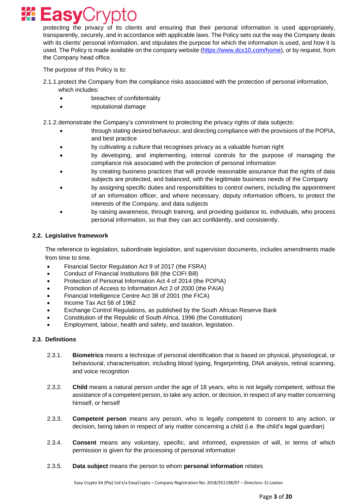

protecting the privacy of its clients and ensuring that their personal information is used appropriately, transparently, securely, and in accordance with applicable laws. The Policy sets out the way the Company deals with its clients' personal information, and stipulates the purpose for which the information is used, and how it is used. The Policy is made available on the company website [\(https://www.dcx10.com/home\)](https://www.dcx10.com/home), or by request, from the Company head office.

The purpose of this Policy is to:

- 2.1.1.protect the Company from the compliance risks associated with the protection of personal information, which includes:
	- breaches of confidentiality
	- reputational damage

2.1.2.demonstrate the Company's commitment to protecting the privacy rights of data subjects:

- through stating desired behaviour, and directing compliance with the provisions of the POPIA, and best practice
- by cultivating a culture that recognises privacy as a valuable human right
- by developing, and implementing, internal controls for the purpose of managing the compliance risk associated with the protection of personal information
- by creating business practices that will provide reasonable assurance that the rights of data subjects are protected, and balanced, with the legitimate business needs of the Company
- by assigning specific duties and responsibilities to control owners, including the appointment of an information officer, and where necessary, deputy information officers, to protect the interests of the Company, and data subjects
- by raising awareness, through training, and providing guidance to, individuals, who process personal information, so that they can act confidently, and consistently.

## **2.2. Legislative framework**

The reference to legislation, subordinate legislation, and supervision documents, includes amendments made from time to time.

- Financial Sector Regulation Act 9 of 2017 (the FSRA)
- Conduct of Financial Institutions Bill (the COFI Bill)
- Protection of Personal Information Act 4 of 2014 (the POPIA)
- Promotion of Access to Information Act 2 of 2000 (the PAIA)
- Financial Intelligence Centre Act 38 of 2001 (the FICA)
- Income Tax Act 58 of 1962
- Exchange Control Regulations, as published by the South African Reserve Bank
- Constitution of the Republic of South Africa, 1996 (the Constitution)
- Employment, labour, health and safety, and taxation, legislation.

## **2.3. Definitions**

- 2.3.1. **Biometrics** means a technique of personal identification that is based on physical, physiological, or behavioural, characterisation, including blood typing, fingerprinting, DNA analysis, retinal scanning, and voice recognition
- 2.3.2. **Child** means a natural person under the age of 18 years, who is not legally competent, without the assistance of a competent person, to take any action, or decision, in respect of any matter concerning himself, or herself
- 2.3.3. **Competent person** means any person, who is legally competent to consent to any action, or decision, being taken in respect of any matter concerning a child (i.e. the child's legal guardian)
- 2.3.4. **Consent** means any voluntary, specific, and informed, expression of will, in terms of which permission is given for the processing of personal information

#### 2.3.5. **Data subject** means the person to whom **personal information** relates

Easy Crypto SA (Pty) Ltd t/a EasyCrypto – Company Registration No: 2018/351198/07 – Directors: EJ Loxton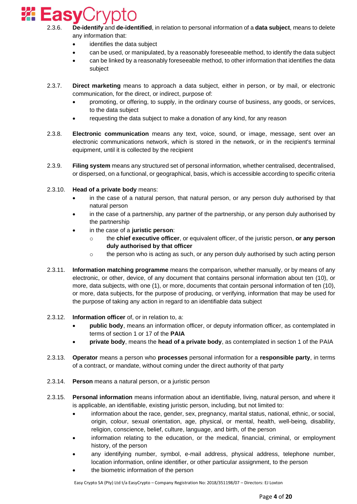

- 2.3.6. **De-identify** and **de-identified**, in relation to personal information of a **data subject**, means to delete any information that:
	- identifies the data subject
	- can be used, or manipulated, by a reasonably foreseeable method, to identify the data subject
	- can be linked by a reasonably foreseeable method, to other information that identifies the data subject
- 2.3.7. **Direct marketing** means to approach a data subject, either in person, or by mail, or electronic communication, for the direct, or indirect, purpose of:
	- promoting, or offering, to supply, in the ordinary course of business, any goods, or services, to the data subject
	- requesting the data subject to make a donation of any kind, for any reason
- 2.3.8. **Electronic communication** means any text, voice, sound, or image, message, sent over an electronic communications network, which is stored in the network, or in the recipient's terminal equipment, until it is collected by the recipient
- 2.3.9. **Filing system** means any structured set of personal information, whether centralised, decentralised, or dispersed, on a functional, or geographical, basis, which is accessible according to specific criteria
- 2.3.10. **Head of a private body** means:
	- in the case of a natural person, that natural person, or any person duly authorised by that natural person
	- in the case of a partnership, any partner of the partnership, or any person duly authorised by the partnership
	- in the case of a **juristic person**:
		- o the **chief executive officer**, or equivalent officer, of the juristic person, **or any person duly authorised by that officer**
		- $\circ$  the person who is acting as such, or any person duly authorised by such acting person
- 2.3.11. **Information matching programme** means the comparison, whether manually, or by means of any electronic, or other, device, of any document that contains personal information about ten (10), or more, data subjects, with one (1), or more, documents that contain personal information of ten (10), or more, data subjects, for the purpose of producing, or verifying, information that may be used for the purpose of taking any action in regard to an identifiable data subject
- 2.3.12. **Information officer** of, or in relation to, a:
	- **public body**, means an information officer, or deputy information officer, as contemplated in terms of section 1 or 17 of the **PAIA**
	- **private body**, means the **head of a private body**, as contemplated in section 1 of the PAIA
- 2.3.13. **Operator** means a person who **processes** personal information for a **responsible party**, in terms of a contract, or mandate, without coming under the direct authority of that party
- 2.3.14. **Person** means a natural person, or a juristic person
- 2.3.15. **Personal information** means information about an identifiable, living, natural person, and where it is applicable, an identifiable, existing juristic person, including, but not limited to:
	- information about the race, gender, sex, pregnancy, marital status, national, ethnic, or social, origin, colour, sexual orientation, age, physical, or mental, health, well-being, disability, religion, conscience, belief, culture, language, and birth, of the person
	- information relating to the education, or the medical, financial, criminal, or employment history, of the person
	- any identifying number, symbol, e-mail address, physical address, telephone number, location information, online identifier, or other particular assignment, to the person
	- the biometric information of the person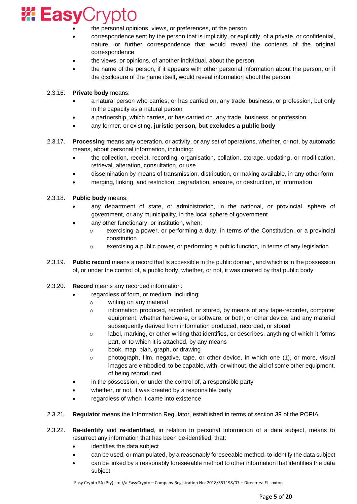

- the personal opinions, views, or preferences, of the person
- correspondence sent by the person that is implicitly, or explicitly, of a private, or confidential, nature, or further correspondence that would reveal the contents of the original correspondence
- the views, or opinions, of another individual, about the person
- the name of the person, if it appears with other personal information about the person, or if the disclosure of the name itself, would reveal information about the person
- 2.3.16. **Private body** means:
	- a natural person who carries, or has carried on, any trade, business, or profession, but only in the capacity as a natural person
	- a partnership, which carries, or has carried on, any trade, business, or profession
	- any former, or existing, **juristic person, but excludes a public body**
- 2.3.17. **Processing** means any operation, or activity, or any set of operations, whether, or not, by automatic means, about personal information, including:
	- the collection, receipt, recording, organisation, collation, storage, updating, or modification, retrieval, alteration, consultation, or use
	- dissemination by means of transmission, distribution, or making available, in any other form
	- merging, linking, and restriction, degradation, erasure, or destruction, of information
- 2.3.18. **Public body** means:
	- any department of state, or administration, in the national, or provincial, sphere of government, or any municipality, in the local sphere of government
	- any other functionary, or institution, when:
		- o exercising a power, or performing a duty, in terms of the Constitution, or a provincial constitution
		- $\circ$  exercising a public power, or performing a public function, in terms of any legislation
- 2.3.19. **Public record** means a record that is accessible in the public domain, and which is in the possession of, or under the control of, a public body, whether, or not, it was created by that public body
- 2.3.20. **Record** means any recorded information:
	- regardless of form, or medium, including:
		- o writing on any material
		- o information produced, recorded, or stored, by means of any tape-recorder, computer equipment, whether hardware, or software, or both, or other device, and any material subsequently derived from information produced, recorded, or stored
		- $\circ$  label, marking, or other writing that identifies, or describes, anything of which it forms part, or to which it is attached, by any means
		- o book, map, plan, graph, or drawing
		- o photograph, film, negative, tape, or other device, in which one (1), or more, visual images are embodied, to be capable, with, or without, the aid of some other equipment, of being reproduced
	- in the possession, or under the control of, a responsible party
	- whether, or not, it was created by a responsible party
	- regardless of when it came into existence
- 2.3.21. **Regulator** means the Information Regulator, established in terms of section 39 of the POPIA
- 2.3.22. **Re-identify** and **re-identified**, in relation to personal information of a data subject, means to resurrect any information that has been de-identified, that:
	- identifies the data subiect
	- can be used, or manipulated, by a reasonably foreseeable method, to identify the data subject
	- can be linked by a reasonably foreseeable method to other information that identifies the data subject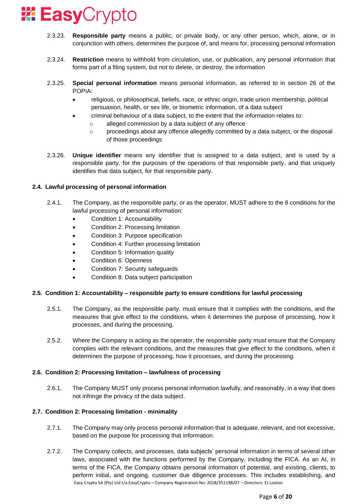

- 2.3.23. **Responsible party** means a public, or private body, or any other person, which, alone, or in conjunction with others, determines the purpose of, and means for, processing personal information
- 2.3.24. **Restriction** means to withhold from circulation, use, or publication, any personal information that forms part of a filing system, but not to delete, or destroy, the information
- 2.3.25. **Special personal information** means personal information, as referred to in section 26 of the POPIA:
	- religious, or philosophical, beliefs, race, or ethnic origin, trade union membership, political persuasion, health, or sex life, or biometric information, of a data subject
		- criminal behaviour of a data subject, to the extent that the information relates to:
			- o alleged commission by a data subject of any offence
			- $\circ$  proceedings about any offence allegedly committed by a data subject, or the disposal of those proceedings
- 2.3.26. **Unique identifier** means any identifier that is assigned to a data subject, and is used by a responsible party, for the purposes of the operations of that responsible party, and that uniquely identifies that data subject, for that responsible party.

# **2.4. Lawful processing of personal information**

- 2.4.1. The Company, as the responsible party, or as the operator, MUST adhere to the 8 conditions for the lawful processing of personal information:
	- Condition 1: Accountability
	- Condition 2: Processing limitation
	- Condition 3: Purpose specification
	- Condition 4: Further processing limitation
	- Condition 5: Information quality
	- Condition 6: Openness
	- Condition 7: Security safeguards
	- Condition 8: Data subject participation

## **2.5. Condition 1: Accountability – responsible party to ensure conditions for lawful processing**

- 2.5.1. The Company, as the responsible party, must ensure that it complies with the conditions, and the measures that give effect to the conditions, when it determines the purpose of processing, how it processes, and during the processing.
- 2.5.2. Where the Company is acting as the operator, the responsible party must ensure that the Company complies with the relevant conditions, and the measures that give effect to the conditions, when it determines the purpose of processing, how it processes, and during the processing.

## **2.6. Condition 2: Processing limitation – lawfulness of processing**

2.6.1. The Company MUST only process personal information lawfully, and reasonably, in a way that does not infringe the privacy of the data subject.

## **2.7. Condition 2: Processing limitation - minimality**

- 2.7.1. The Company may only process personal information that is adequate, relevant, and not excessive, based on the purpose for processing that information.
- Easy Crypto SA (Pty) Ltd t/a EasyCrypto Company Registration No: 2018/351198/07 Directors: EJ Loxton 2.7.2. The Company collects, and processes, data subjects' personal information in terms of several other laws, associated with the functions performed by the Company, including the FICA. As an AI, in terms of the FICA, the Company obtains personal information of potential, and existing, clients, to perform initial, and ongoing, customer due diligence processes. This includes establishing, and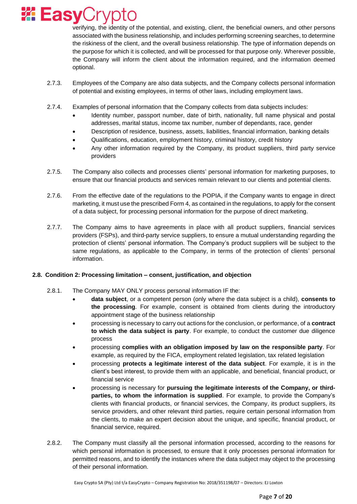

verifying, the identity of the potential, and existing, client, the beneficial owners, and other persons associated with the business relationship, and includes performing screening searches, to determine the riskiness of the client, and the overall business relationship. The type of information depends on the purpose for which it is collected, and will be processed for that purpose only. Wherever possible, the Company will inform the client about the information required, and the information deemed optional.

- 2.7.3. Employees of the Company are also data subjects, and the Company collects personal information of potential and existing employees, in terms of other laws, including employment laws.
- 2.7.4. Examples of personal information that the Company collects from data subjects includes:
	- Identity number, passport number, date of birth, nationality, full name physical and postal addresses, marital status, income tax number, number of dependants, race, gender
	- Description of residence, business, assets, liabilities, financial information, banking details
	- Qualifications, education, employment history, criminal history, credit history
	- Any other information required by the Company, its product suppliers, third party service providers
- 2.7.5. The Company also collects and processes clients' personal information for marketing purposes, to ensure that our financial products and services remain relevant to our clients and potential clients.
- 2.7.6. From the effective date of the regulations to the POPIA, if the Company wants to engage in direct marketing, it must use the prescribed Form 4, as contained in the regulations, to apply for the consent of a data subject, for processing personal information for the purpose of direct marketing.
- 2.7.7. The Company aims to have agreements in place with all product suppliers, financial services providers (FSPs), and third-party service suppliers, to ensure a mutual understanding regarding the protection of clients' personal information. The Company's product suppliers will be subject to the same regulations, as applicable to the Company, in terms of the protection of clients' personal information.

## **2.8. Condition 2: Processing limitation – consent, justification, and objection**

- 2.8.1. The Company MAY ONLY process personal information IF the:
	- **data subject**, or a competent person (only where the data subject is a child), **consents to the processing**. For example, consent is obtained from clients during the introductory appointment stage of the business relationship
	- processing is necessary to carry out actions for the conclusion, or performance, of a **contract to which the data subject is party**. For example, to conduct the customer due diligence process
	- processing **complies with an obligation imposed by law on the responsible party**. For example, as required by the FICA, employment related legislation, tax related legislation
	- processing **protects a legitimate interest of the data subject**. For example, it is in the client's best interest, to provide them with an applicable, and beneficial, financial product, or financial service
	- processing is necessary for **pursuing the legitimate interests of the Company, or thirdparties, to whom the information is supplied**. For example, to provide the Company's clients with financial products, or financial services, the Company, its product suppliers, its service providers, and other relevant third parties, require certain personal information from the clients, to make an expert decision about the unique, and specific, financial product, or financial service, required.
- 2.8.2. The Company must classify all the personal information processed, according to the reasons for which personal information is processed, to ensure that it only processes personal information for permitted reasons, and to identify the instances where the data subject may object to the processing of their personal information.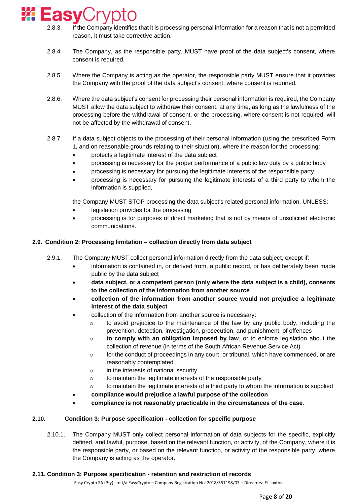

- 2.8.3. If the Company identifies that it is processing personal information for a reason that is not a permitted reason, it must take corrective action.
- 2.8.4. The Company, as the responsible party, MUST have proof of the data subject's consent, where consent is required.
- 2.8.5. Where the Company is acting as the operator, the responsible party MUST ensure that it provides the Company with the proof of the data subject's consent, where consent is required.
- 2.8.6. Where the data subject's consent for processing their personal information is required, the Company MUST allow the data subject to withdraw their consent, at any time, as long as the lawfulness of the processing before the withdrawal of consent, or the processing, where consent is not required, will not be affected by the withdrawal of consent.
- 2.8.7. If a data subject objects to the processing of their personal information (using the prescribed Form 1, and on reasonable grounds relating to their situation), where the reason for the processing:
	- protects a legitimate interest of the data subject
	- processing is necessary for the proper performance of a public law duty by a public body
	- processing is necessary for pursuing the legitimate interests of the responsible party
	- processing is necessary for pursuing the legitimate interests of a third party to whom the information is supplied,

the Company MUST STOP processing the data subject's related personal information, UNLESS:

- legislation provides for the processing
- processing is for purposes of direct marketing that is not by means of unsolicited electronic communications.

## **2.9. Condition 2: Processing limitation – collection directly from data subject**

- 2.9.1. The Company MUST collect personal information directly from the data subject, except if:
	- information is contained in, or derived from, a public record, or has deliberately been made public by the data subject
	- **data subject, or a competent person (only where the data subject is a child), consents to the collection of the information from another source**
	- **collection of the information from another source would not prejudice a legitimate interest of the data subject**
	- collection of the information from another source is necessary:
		- o to avoid prejudice to the maintenance of the law by any public body, including the prevention, detection, investigation, prosecution, and punishment, of offences
		- o **to comply with an obligation imposed by law**, or to enforce legislation about the collection of revenue (in terms of the South African Revenue Service Act)
		- $\circ$  for the conduct of proceedings in any court, or tribunal, which have commenced, or are reasonably contemplated
		- o in the interests of national security
		- $\circ$  to maintain the legitimate interests of the responsible party
		- $\circ$  to maintain the legitimate interests of a third party to whom the information is supplied
	- **compliance would prejudice a lawful purpose of the collection**
	- **compliance is not reasonably practicable in the circumstances of the case**.

## **2.10. Condition 3: Purpose specification - collection for specific purpose**

2.10.1. The Company MUST only collect personal information of data subjects for the specific, explicitly defined, and lawful, purpose, based on the relevant function, or activity, of the Company, where it is the responsible party, or based on the relevant function, or activity of the responsible party, where the Company is acting as the operator.

## **2.11. Condition 3: Purpose specification - retention and restriction of records**

Easy Crypto SA (Pty) Ltd t/a EasyCrypto – Company Registration No: 2018/351198/07 – Directors: EJ Loxton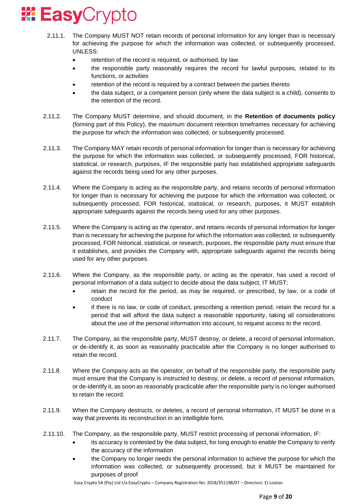

- 2.11.1. The Company MUST NOT retain records of personal information for any longer than is necessary for achieving the purpose for which the information was collected, or subsequently processed, UNLESS:
	- retention of the record is required, or authorised, by law
	- the responsible party reasonably requires the record for lawful purposes, related to its functions, or activities
	- retention of the record is required by a contract between the parties thereto
	- the data subject, or a competent person (only where the data subject is a child), consents to the retention of the record.
- 2.11.2. The Company MUST determine, and should document, in the **Retention of documents policy** (forming part of this Policy), the maximum document retention timeframes necessary for achieving the purpose for which the information was collected, or subsequently processed.
- 2.11.3. The Company MAY retain records of personal information for longer than is necessary for achieving the purpose for which the information was collected, or subsequently processed, FOR historical, statistical, or research, purposes, IF the responsible party has established appropriate safeguards against the records being used for any other purposes.
- 2.11.4. Where the Company is acting as the responsible party, and retains records of personal information for longer than is necessary for achieving the purpose for which the information was collected, or subsequently processed, FOR historical, statistical, or research, purposes, it MUST establish appropriate safeguards against the records being used for any other purposes.
- 2.11.5. Where the Company is acting as the operator, and retains records of personal information for longer than is necessary for achieving the purpose for which the information was collected, or subsequently processed, FOR historical, statistical, or research, purposes, the responsible party must ensure that it establishes, and provides the Company with, appropriate safeguards against the records being used for any other purposes.
- 2.11.6. Where the Company, as the responsible party, or acting as the operator, has used a record of personal information of a data subject to decide about the data subject, IT MUST:
	- retain the record for the period, as may be required, or prescribed, by law, or a code of conduct
	- if there is no law, or code of conduct, prescribing a retention period, retain the record for a period that will afford the data subject a reasonable opportunity, taking all considerations about the use of the personal information into account, to request access to the record.
- 2.11.7. The Company, as the responsible party, MUST destroy, or delete, a record of personal information, or de-identify it, as soon as reasonably practicable after the Company is no longer authorised to retain the record.
- 2.11.8. Where the Company acts as the operator, on behalf of the responsible party, the responsible party must ensure that the Company is instructed to destroy, or delete, a record of personal information, or de-identify it, as soon as reasonably practicable after the responsible party is no longer authorised to retain the record.
- 2.11.9. When the Company destructs, or deletes, a record of personal information, IT MUST be done in a way that prevents its reconstruction in an intelligible form.
- 2.11.10. The Company, as the responsible party, MUST restrict processing of personal information, IF:
	- its accuracy is contested by the data subject, for long enough to enable the Company to verify the accuracy of the information
	- the Company no longer needs the personal information to achieve the purpose for which the information was collected, or subsequently processed, but it MUST be maintained for purposes of proof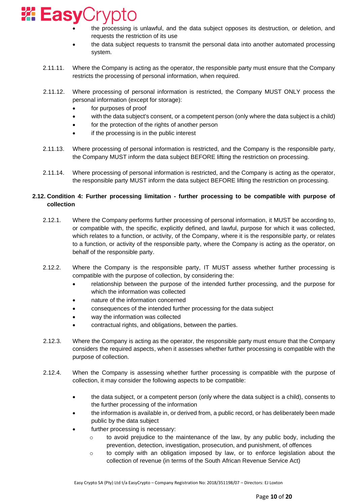

- the processing is unlawful, and the data subject opposes its destruction, or deletion, and requests the restriction of its use
- the data subject requests to transmit the personal data into another automated processing system.
- 2.11.11. Where the Company is acting as the operator, the responsible party must ensure that the Company restricts the processing of personal information, when required.
- 2.11.12. Where processing of personal information is restricted, the Company MUST ONLY process the personal information (except for storage):
	- for purposes of proof
	- with the data subject's consent, or a competent person (only where the data subject is a child)
	- for the protection of the rights of another person
	- if the processing is in the public interest
- 2.11.13. Where processing of personal information is restricted, and the Company is the responsible party, the Company MUST inform the data subject BEFORE lifting the restriction on processing.
- 2.11.14. Where processing of personal information is restricted, and the Company is acting as the operator, the responsible party MUST inform the data subject BEFORE lifting the restriction on processing.

# **2.12. Condition 4: Further processing limitation - further processing to be compatible with purpose of collection**

- 2.12.1. Where the Company performs further processing of personal information, it MUST be according to, or compatible with, the specific, explicitly defined, and lawful, purpose for which it was collected, which relates to a function, or activity, of the Company, where it is the responsible party, or relates to a function, or activity of the responsible party, where the Company is acting as the operator, on behalf of the responsible party.
- 2.12.2. Where the Company is the responsible party, IT MUST assess whether further processing is compatible with the purpose of collection, by considering the:
	- relationship between the purpose of the intended further processing, and the purpose for which the information was collected
	- nature of the information concerned
	- consequences of the intended further processing for the data subject
	- way the information was collected
	- contractual rights, and obligations, between the parties.
- 2.12.3. Where the Company is acting as the operator, the responsible party must ensure that the Company considers the required aspects, when it assesses whether further processing is compatible with the purpose of collection.
- 2.12.4. When the Company is assessing whether further processing is compatible with the purpose of collection, it may consider the following aspects to be compatible:
	- the data subject, or a competent person (only where the data subject is a child), consents to the further processing of the information
	- the information is available in, or derived from, a public record, or has deliberately been made public by the data subject
	- further processing is necessary:
		- $\circ$  to avoid prejudice to the maintenance of the law, by any public body, including the prevention, detection, investigation, prosecution, and punishment, of offences
		- $\circ$  to comply with an obligation imposed by law, or to enforce legislation about the collection of revenue (in terms of the South African Revenue Service Act)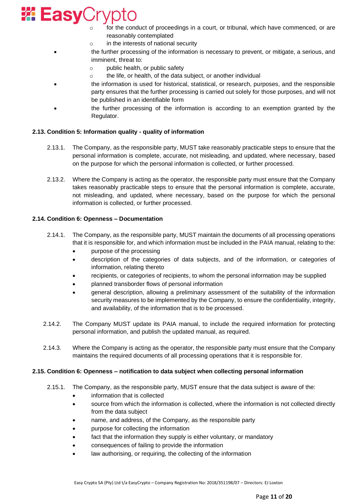

- for the conduct of proceedings in a court, or tribunal, which have commenced, or are reasonably contemplated
- o in the interests of national security
- the further processing of the information is necessary to prevent, or mitigate, a serious, and imminent, threat to:
	- o public health, or public safety
	- o the life, or health, of the data subject, or another individual
- the information is used for historical, statistical, or research, purposes, and the responsible party ensures that the further processing is carried out solely for those purposes, and will not be published in an identifiable form
- the further processing of the information is according to an exemption granted by the Regulator.

## **2.13. Condition 5: Information quality - quality of information**

- 2.13.1. The Company, as the responsible party, MUST take reasonably practicable steps to ensure that the personal information is complete, accurate, not misleading, and updated, where necessary, based on the purpose for which the personal information is collected, or further processed.
- 2.13.2. Where the Company is acting as the operator, the responsible party must ensure that the Company takes reasonably practicable steps to ensure that the personal information is complete, accurate, not misleading, and updated, where necessary, based on the purpose for which the personal information is collected, or further processed.

## **2.14. Condition 6: Openness – Documentation**

- 2.14.1. The Company, as the responsible party, MUST maintain the documents of all processing operations that it is responsible for, and which information must be included in the PAIA manual, relating to the:
	- purpose of the processing
	- description of the categories of data subjects, and of the information, or categories of information, relating thereto
	- recipients, or categories of recipients, to whom the personal information may be supplied
	- planned transborder flows of personal information
	- general description, allowing a preliminary assessment of the suitability of the information security measures to be implemented by the Company, to ensure the confidentiality, integrity, and availability, of the information that is to be processed.
- 2.14.2. The Company MUST update its PAIA manual, to include the required information for protecting personal information, and publish the updated manual, as required.
- 2.14.3. Where the Company is acting as the operator, the responsible party must ensure that the Company maintains the required documents of all processing operations that it is responsible for.

#### **2.15. Condition 6: Openness – notification to data subject when collecting personal information**

- 2.15.1. The Company, as the responsible party, MUST ensure that the data subject is aware of the:
	- information that is collected
	- source from which the information is collected, where the information is not collected directly from the data subject
	- name, and address, of the Company, as the responsible party
	- purpose for collecting the information
	- fact that the information they supply is either voluntary, or mandatory
	- consequences of failing to provide the information
	- law authorising, or requiring, the collecting of the information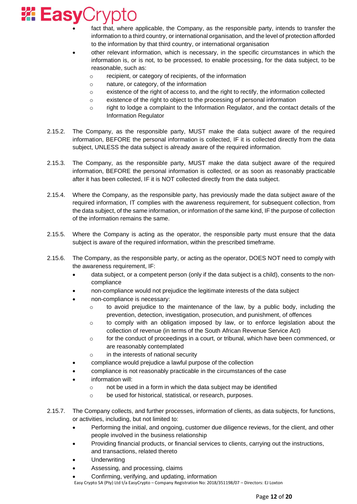

- fact that, where applicable, the Company, as the responsible party, intends to transfer the information to a third country, or international organisation, and the level of protection afforded to the information by that third country, or international organisation
- other relevant information, which is necessary, in the specific circumstances in which the information is, or is not, to be processed, to enable processing, for the data subject, to be reasonable, such as:
	- o recipient, or category of recipients, of the information
	- o nature, or category, of the information
	- $\circ$  existence of the right of access to, and the right to rectify, the information collected
	- o existence of the right to object to the processing of personal information
	- o right to lodge a complaint to the Information Regulator, and the contact details of the Information Regulator
- 2.15.2. The Company, as the responsible party, MUST make the data subject aware of the required information, BEFORE the personal information is collected, IF it is collected directly from the data subject, UNLESS the data subject is already aware of the required information.
- 2.15.3. The Company, as the responsible party, MUST make the data subject aware of the required information, BEFORE the personal information is collected, or as soon as reasonably practicable after it has been collected, IF it is NOT collected directly from the data subject.
- 2.15.4. Where the Company, as the responsible party, has previously made the data subject aware of the required information, IT complies with the awareness requirement, for subsequent collection, from the data subject, of the same information, or information of the same kind, IF the purpose of collection of the information remains the same.
- 2.15.5. Where the Company is acting as the operator, the responsible party must ensure that the data subject is aware of the required information, within the prescribed timeframe.
- 2.15.6. The Company, as the responsible party, or acting as the operator, DOES NOT need to comply with the awareness requirement, IF:
	- data subject, or a competent person (only if the data subject is a child), consents to the noncompliance
	- non-compliance would not prejudice the legitimate interests of the data subject
	- non-compliance is necessary:
		- $\circ$  to avoid prejudice to the maintenance of the law, by a public body, including the prevention, detection, investigation, prosecution, and punishment, of offences
		- $\circ$  to comply with an obligation imposed by law, or to enforce legislation about the collection of revenue (in terms of the South African Revenue Service Act)
		- $\circ$  for the conduct of proceedings in a court, or tribunal, which have been commenced, or are reasonably contemplated
		- o in the interests of national security
	- compliance would prejudice a lawful purpose of the collection
	- compliance is not reasonably practicable in the circumstances of the case
	- information will:
		- o not be used in a form in which the data subject may be identified
		- o be used for historical, statistical, or research, purposes.
- 2.15.7. The Company collects, and further processes, information of clients, as data subjects, for functions, or activities, including, but not limited to:
	- Performing the initial, and ongoing, customer due diligence reviews, for the client, and other people involved in the business relationship
	- Providing financial products, or financial services to clients, carrying out the instructions, and transactions, related thereto
	- **Underwriting**
	- Assessing, and processing, claims
	- Easy Crypto SA (Pty) Ltd t/a EasyCrypto Company Registration No: 2018/351198/07 Directors: EJ Loxton • Confirming, verifying, and updating, information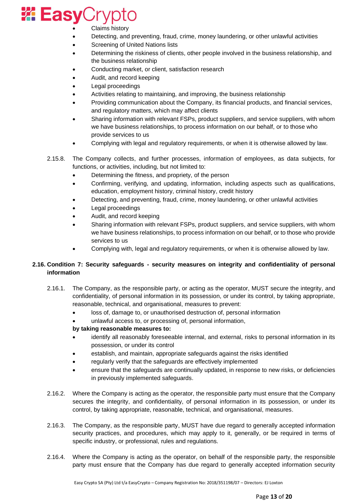

- Claims history
- Detecting, and preventing, fraud, crime, money laundering, or other unlawful activities
- Screening of United Nations lists
- Determining the riskiness of clients, other people involved in the business relationship, and the business relationship
- Conducting market, or client, satisfaction research
- Audit, and record keeping
- Legal proceedings
- Activities relating to maintaining, and improving, the business relationship
- Providing communication about the Company, its financial products, and financial services, and regulatory matters, which may affect clients
- Sharing information with relevant FSPs, product suppliers, and service suppliers, with whom we have business relationships, to process information on our behalf, or to those who provide services to us
- Complying with legal and regulatory requirements, or when it is otherwise allowed by law.
- 2.15.8. The Company collects, and further processes, information of employees, as data subjects, for functions, or activities, including, but not limited to:
	- Determining the fitness, and propriety, of the person
	- Confirming, verifying, and updating, information, including aspects such as qualifications, education, employment history, criminal history, credit history
	- Detecting, and preventing, fraud, crime, money laundering, or other unlawful activities
	- Legal proceedings
	- Audit, and record keeping
	- Sharing information with relevant FSPs, product suppliers, and service suppliers, with whom we have business relationships, to process information on our behalf, or to those who provide services to us
	- Complying with, legal and regulatory requirements, or when it is otherwise allowed by law.

# **2.16. Condition 7: Security safeguards - security measures on integrity and confidentiality of personal information**

- 2.16.1. The Company, as the responsible party, or acting as the operator, MUST secure the integrity, and confidentiality, of personal information in its possession, or under its control, by taking appropriate, reasonable, technical, and organisational, measures to prevent:
	- loss of, damage to, or unauthorised destruction of, personal information
	- unlawful access to, or processing of, personal information,

## **by taking reasonable measures to:**

- identify all reasonably foreseeable internal, and external, risks to personal information in its possession, or under its control
- establish, and maintain, appropriate safeguards against the risks identified
- regularly verify that the safeguards are effectively implemented
- ensure that the safeguards are continually updated, in response to new risks, or deficiencies in previously implemented safeguards.
- 2.16.2. Where the Company is acting as the operator, the responsible party must ensure that the Company secures the integrity, and confidentiality, of personal information in its possession, or under its control, by taking appropriate, reasonable, technical, and organisational, measures.
- 2.16.3. The Company, as the responsible party, MUST have due regard to generally accepted information security practices, and procedures, which may apply to it, generally, or be required in terms of specific industry, or professional, rules and regulations.
- 2.16.4. Where the Company is acting as the operator, on behalf of the responsible party, the responsible party must ensure that the Company has due regard to generally accepted information security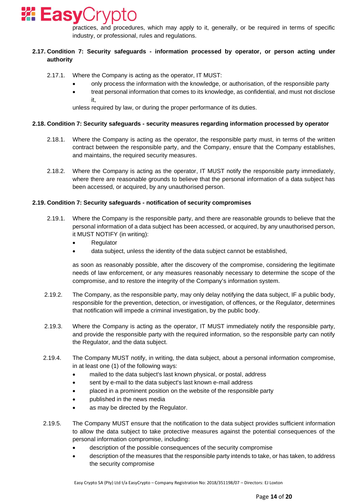

practices, and procedures, which may apply to it, generally, or be required in terms of specific industry, or professional, rules and regulations.

# **2.17. Condition 7: Security safeguards - information processed by operator, or person acting under authority**

- 2.17.1. Where the Company is acting as the operator, IT MUST:
	- only process the information with the knowledge, or authorisation, of the responsible party
	- treat personal information that comes to its knowledge, as confidential, and must not disclose it,

unless required by law, or during the proper performance of its duties.

## **2.18. Condition 7: Security safeguards - security measures regarding information processed by operator**

- 2.18.1. Where the Company is acting as the operator, the responsible party must, in terms of the written contract between the responsible party, and the Company, ensure that the Company establishes, and maintains, the required security measures.
- 2.18.2. Where the Company is acting as the operator, IT MUST notify the responsible party immediately, where there are reasonable grounds to believe that the personal information of a data subject has been accessed, or acquired, by any unauthorised person.

## **2.19. Condition 7: Security safeguards - notification of security compromises**

- 2.19.1. Where the Company is the responsible party, and there are reasonable grounds to believe that the personal information of a data subject has been accessed, or acquired, by any unauthorised person, it MUST NOTIFY (in writing):
	- Regulator
	- data subject, unless the identity of the data subject cannot be established,

as soon as reasonably possible, after the discovery of the compromise, considering the legitimate needs of law enforcement, or any measures reasonably necessary to determine the scope of the compromise, and to restore the integrity of the Company's information system.

- 2.19.2. The Company, as the responsible party, may only delay notifying the data subject, IF a public body, responsible for the prevention, detection, or investigation, of offences, or the Regulator, determines that notification will impede a criminal investigation, by the public body.
- 2.19.3. Where the Company is acting as the operator, IT MUST immediately notify the responsible party, and provide the responsible party with the required information, so the responsible party can notify the Regulator, and the data subject.
- 2.19.4. The Company MUST notify, in writing, the data subject, about a personal information compromise, in at least one (1) of the following ways:
	- mailed to the data subject's last known physical, or postal, address
	- sent by e-mail to the data subject's last known e-mail address
	- placed in a prominent position on the website of the responsible party
	- published in the news media
	- as may be directed by the Regulator.
- 2.19.5. The Company MUST ensure that the notification to the data subject provides sufficient information to allow the data subject to take protective measures against the potential consequences of the personal information compromise, including:
	- description of the possible consequences of the security compromise
	- description of the measures that the responsible party intends to take, or has taken, to address the security compromise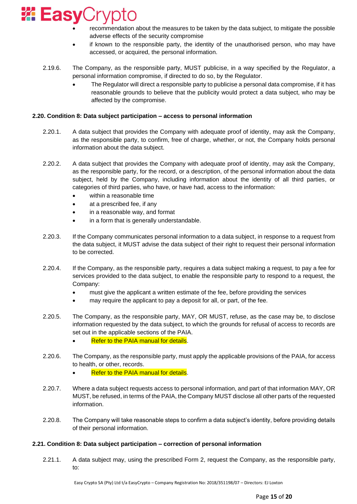

- recommendation about the measures to be taken by the data subject, to mitigate the possible adverse effects of the security compromise
- if known to the responsible party, the identity of the unauthorised person, who may have accessed, or acquired, the personal information.
- 2.19.6. The Company, as the responsible party, MUST publicise, in a way specified by the Regulator, a personal information compromise, if directed to do so, by the Regulator.
	- The Regulator will direct a responsible party to publicise a personal data compromise, if it has reasonable grounds to believe that the publicity would protect a data subject, who may be affected by the compromise.

## **2.20. Condition 8: Data subject participation – access to personal information**

- 2.20.1. A data subject that provides the Company with adequate proof of identity, may ask the Company, as the responsible party, to confirm, free of charge, whether, or not, the Company holds personal information about the data subject.
- 2.20.2. A data subject that provides the Company with adequate proof of identity, may ask the Company, as the responsible party, for the record, or a description, of the personal information about the data subject, held by the Company, including information about the identity of all third parties, or categories of third parties, who have, or have had, access to the information:
	- within a reasonable time
	- at a prescribed fee, if any
	- in a reasonable way, and format
	- in a form that is generally understandable.
- 2.20.3. If the Company communicates personal information to a data subject, in response to a request from the data subject, it MUST advise the data subject of their right to request their personal information to be corrected.
- 2.20.4. If the Company, as the responsible party, requires a data subject making a request, to pay a fee for services provided to the data subject, to enable the responsible party to respond to a request, the Company:
	- must give the applicant a written estimate of the fee, before providing the services
	- may require the applicant to pay a deposit for all, or part, of the fee.
- 2.20.5. The Company, as the responsible party, MAY, OR MUST, refuse, as the case may be, to disclose information requested by the data subject, to which the grounds for refusal of access to records are set out in the applicable sections of the PAIA.
	- Refer to the PAIA manual for details.
- 2.20.6. The Company, as the responsible party, must apply the applicable provisions of the PAIA, for access to health, or other, records.
	- **Refer to the PAIA manual for details.**
- 2.20.7. Where a data subject requests access to personal information, and part of that information MAY, OR MUST, be refused, in terms of the PAIA, the Company MUST disclose all other parts of the requested information.
- 2.20.8. The Company will take reasonable steps to confirm a data subject's identity, before providing details of their personal information.

## **2.21. Condition 8: Data subject participation – correction of personal information**

2.21.1. A data subject may, using the prescribed Form 2, request the Company, as the responsible party, to: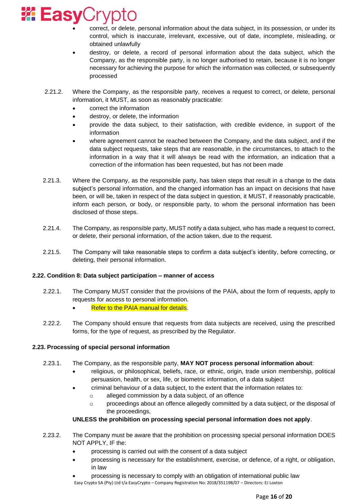

- correct, or delete, personal information about the data subject, in its possession, or under its control, which is inaccurate, irrelevant, excessive, out of date, incomplete, misleading, or obtained unlawfully
- destroy, or delete, a record of personal information about the data subject, which the Company, as the responsible party, is no longer authorised to retain, because it is no longer necessary for achieving the purpose for which the information was collected, or subsequently processed
- 2.21.2. Where the Company, as the responsible party, receives a request to correct, or delete, personal information, it MUST, as soon as reasonably practicable:
	- correct the information
	- destroy, or delete, the information
	- provide the data subject, to their satisfaction, with credible evidence, in support of the information
	- where agreement cannot be reached between the Company, and the data subject, and if the data subject requests, take steps that are reasonable, in the circumstances, to attach to the information in a way that it will always be read with the information, an indication that a correction of the information has been requested, but has not been made
- 2.21.3. Where the Company, as the responsible party, has taken steps that result in a change to the data subject's personal information, and the changed information has an impact on decisions that have been, or will be, taken in respect of the data subject in question, it MUST, if reasonably practicable, inform each person, or body, or responsible party, to whom the personal information has been disclosed of those steps.
- 2.21.4. The Company, as responsible party, MUST notify a data subject, who has made a request to correct, or delete, their personal information, of the action taken, due to the request.
- 2.21.5. The Company will take reasonable steps to confirm a data subject's identity, before correcting, or deleting, their personal information.

## **2.22. Condition 8: Data subject participation – manner of access**

- 2.22.1. The Company MUST consider that the provisions of the PAIA, about the form of requests, apply to requests for access to personal information.
	- **Refer to the PAIA manual for details.**
- 2.22.2. The Company should ensure that requests from data subjects are received, using the prescribed forms, for the type of request, as prescribed by the Regulator.

## **2.23. Processing of special personal information**

- 2.23.1. The Company, as the responsible party, **MAY NOT process personal information about**:
	- religious, or philosophical, beliefs, race, or ethnic, origin, trade union membership, political persuasion, health, or sex, life, or biometric information, of a data subject
	- criminal behaviour of a data subject, to the extent that the information relates to:
		- o alleged commission by a data subject, of an offence
		- $\circ$  proceedings about an offence allegedly committed by a data subject, or the disposal of the proceedings,

## **UNLESS the prohibition on processing special personal information does not apply**.

- 2.23.2. The Company must be aware that the prohibition on processing special personal information DOES NOT APPLY, IF the:
	- processing is carried out with the consent of a data subject
	- processing is necessary for the establishment, exercise, or defence, of a right, or obligation, in law
	- Easy Crypto SA (Pty) Ltd t/a EasyCrypto Company Registration No: 2018/351198/07 Directors: EJ Loxton • processing is necessary to comply with an obligation of international public law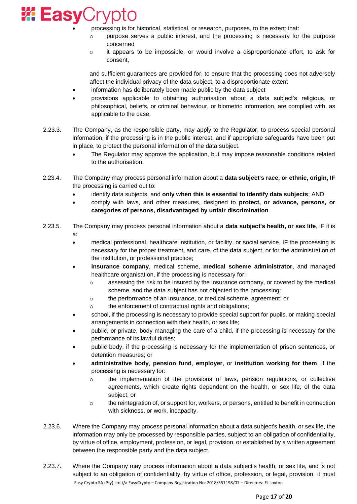

- processing is for historical, statistical, or research, purposes, to the extent that:
	- o purpose serves a public interest, and the processing is necessary for the purpose concerned
	- $\circ$  it appears to be impossible, or would involve a disproportionate effort, to ask for consent,

and sufficient guarantees are provided for, to ensure that the processing does not adversely affect the individual privacy of the data subject, to a disproportionate extent

- information has deliberately been made public by the data subject
- provisions applicable to obtaining authorisation about a data subject's religious, or philosophical, beliefs, or criminal behaviour, or biometric information, are complied with, as applicable to the case.
- 2.23.3. The Company, as the responsible party, may apply to the Regulator, to process special personal information, if the processing is in the public interest, and if appropriate safeguards have been put in place, to protect the personal information of the data subject.
	- The Regulator may approve the application, but may impose reasonable conditions related to the authorisation.
- 2.23.4. The Company may process personal information about a **data subject's race, or ethnic, origin, IF** the processing is carried out to:
	- identify data subjects, and **only when this is essential to identify data subjects**; AND
	- comply with laws, and other measures, designed to **protect, or advance, persons, or categories of persons, disadvantaged by unfair discrimination**.
- 2.23.5. The Company may process personal information about a **data subject's health, or sex life**, IF it is a:
	- medical professional, healthcare institution, or facility, or social service, IF the processing is necessary for the proper treatment, and care, of the data subject, or for the administration of the institution, or professional practice;
	- **insurance company**, medical scheme, **medical scheme administrator**, and managed healthcare organisation, if the processing is necessary for:
		- o assessing the risk to be insured by the insurance company, or covered by the medical scheme, and the data subject has not objected to the processing;
		- o the performance of an insurance, or medical scheme, agreement; or
		- o the enforcement of contractual rights and obligations;
	- school, if the processing is necessary to provide special support for pupils, or making special arrangements in connection with their health, or sex life;
	- public, or private, body managing the care of a child, if the processing is necessary for the performance of its lawful duties;
	- public body, if the processing is necessary for the implementation of prison sentences, or detention measures; or
	- **administrative body**, **pension fund**, **employer**, or **institution working for them**, if the processing is necessary for:
		- o the implementation of the provisions of laws, pension regulations, or collective agreements, which create rights dependent on the health, or sex life, of the data subject; or
		- o the reintegration of, or support for, workers, or persons, entitled to benefit in connection with sickness, or work, incapacity.
- 2.23.6. Where the Company may process personal information about a data subject's health, or sex life, the information may only be processed by responsible parties, subject to an obligation of confidentiality, by virtue of office, employment, profession, or legal, provision, or established by a written agreement between the responsible party and the data subject.
- Easy Crypto SA (Pty) Ltd t/a EasyCrypto Company Registration No: 2018/351198/07 Directors: EJ Loxton 2.23.7. Where the Company may process information about a data subject's health, or sex life, and is not subject to an obligation of confidentiality, by virtue of office, profession, or legal, provision, it must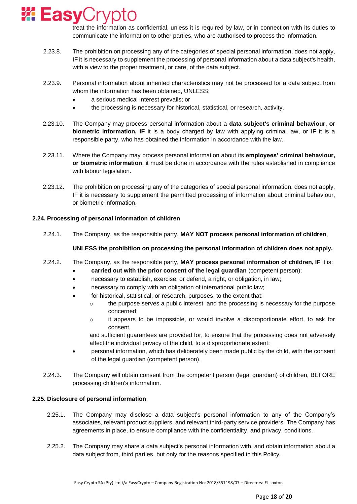

treat the information as confidential, unless it is required by law, or in connection with its duties to communicate the information to other parties, who are authorised to process the information.

- 2.23.8. The prohibition on processing any of the categories of special personal information, does not apply, IF it is necessary to supplement the processing of personal information about a data subject's health, with a view to the proper treatment, or care, of the data subject.
- 2.23.9. Personal information about inherited characteristics may not be processed for a data subject from whom the information has been obtained, UNLESS:
	- a serious medical interest prevails; or
	- the processing is necessary for historical, statistical, or research, activity.
- 2.23.10. The Company may process personal information about a **data subject's criminal behaviour, or biometric information, IF** it is a body charged by law with applying criminal law, or IF it is a responsible party, who has obtained the information in accordance with the law.
- 2.23.11. Where the Company may process personal information about its **employees' criminal behaviour, or biometric information**, it must be done in accordance with the rules established in compliance with labour legislation.
- 2.23.12. The prohibition on processing any of the categories of special personal information, does not apply, IF it is necessary to supplement the permitted processing of information about criminal behaviour, or biometric information.

## **2.24. Processing of personal information of children**

2.24.1. The Company, as the responsible party, **MAY NOT process personal information of children**,

## **UNLESS the prohibition on processing the personal information of children does not apply.**

## 2.24.2. The Company, as the responsible party, **MAY process personal information of children, IF** it is:

- **carried out with the prior consent of the legal guardian** (competent person);
- necessary to establish, exercise, or defend, a right, or obligation, in law;
- necessary to comply with an obligation of international public law;
- for historical, statistical, or research, purposes, to the extent that:
	- o the purpose serves a public interest, and the processing is necessary for the purpose concerned;
	- o it appears to be impossible, or would involve a disproportionate effort, to ask for consent,

and sufficient guarantees are provided for, to ensure that the processing does not adversely affect the individual privacy of the child, to a disproportionate extent;

- personal information, which has deliberately been made public by the child, with the consent of the legal guardian (competent person).
- 2.24.3. The Company will obtain consent from the competent person (legal guardian) of children, BEFORE processing children's information.

## **2.25. Disclosure of personal information**

- 2.25.1. The Company may disclose a data subject's personal information to any of the Company's associates, relevant product suppliers, and relevant third-party service providers. The Company has agreements in place, to ensure compliance with the confidentiality, and privacy, conditions.
- 2.25.2. The Company may share a data subject's personal information with, and obtain information about a data subject from, third parties, but only for the reasons specified in this Policy.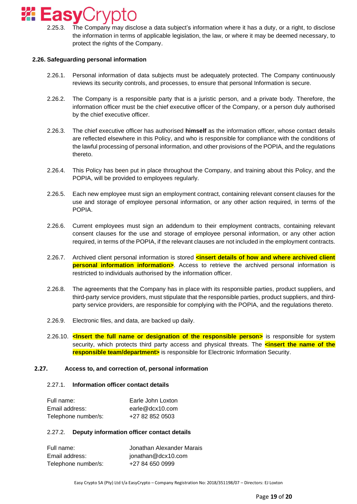

2.25.3. The Company may disclose a data subject's information where it has a duty, or a right, to disclose the information in terms of applicable legislation, the law, or where it may be deemed necessary, to protect the rights of the Company.

## **2.26. Safeguarding personal information**

- 2.26.1. Personal information of data subjects must be adequately protected. The Company continuously reviews its security controls, and processes, to ensure that personal Information is secure.
- 2.26.2. The Company is a responsible party that is a juristic person, and a private body. Therefore, the information officer must be the chief executive officer of the Company, or a person duly authorised by the chief executive officer.
- 2.26.3. The chief executive officer has authorised **himself** as the information officer, whose contact details are reflected elsewhere in this Policy, and who is responsible for compliance with the conditions of the lawful processing of personal information, and other provisions of the POPIA, and the regulations thereto.
- 2.26.4. This Policy has been put in place throughout the Company, and training about this Policy, and the POPIA, will be provided to employees regularly.
- 2.26.5. Each new employee must sign an employment contract, containing relevant consent clauses for the use and storage of employee personal information, or any other action required, in terms of the POPIA.
- 2.26.6. Current employees must sign an addendum to their employment contracts, containing relevant consent clauses for the use and storage of employee personal information, or any other action required, in terms of the POPIA, if the relevant clauses are not included in the employment contracts.
- 2.26.7. Archived client personal information is stored **kinsert details of how and where archived client personal information information>**. Access to retrieve the archived personal information is restricted to individuals authorised by the information officer.
- 2.26.8. The agreements that the Company has in place with its responsible parties, product suppliers, and third-party service providers, must stipulate that the responsible parties, product suppliers, and thirdparty service providers, are responsible for complying with the POPIA, and the regulations thereto.
- 2.26.9. Electronic files, and data, are backed up daily.
- 2.26.10. **<Insert the full name or designation of the responsible person>** is responsible for system security, which protects third party access and physical threats. The **sinsert the name of the responsible team/department>** is responsible for Electronic Information Security.

#### **2.27. Access to, and correction of, personal information**

#### 2.27.1. **Information officer contact details**

| Full name:          | Earle John Loxton |
|---------------------|-------------------|
| Email address:      | earle@dcx10.com   |
| Telephone number/s: | +27 82 852 0503   |

## 2.27.2. **Deputy information officer contact details**

| Full name:          | Jonathan Alexander Marais |
|---------------------|---------------------------|
| Email address:      | jonathan@dcx10.com        |
| Telephone number/s: | +27 84 650 0999           |